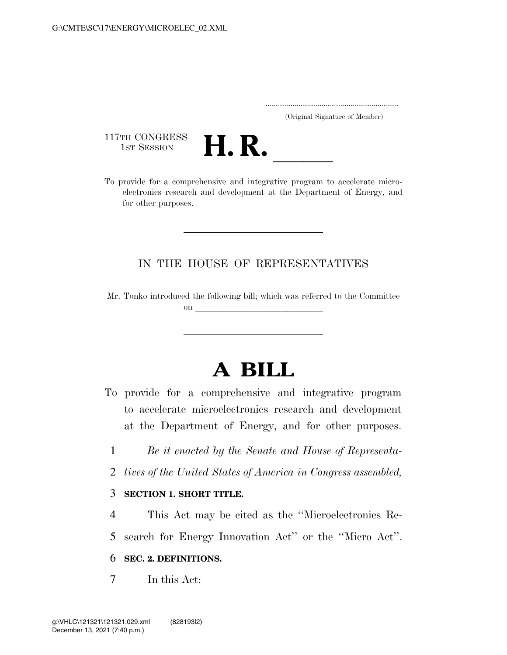..................................................................... (Original Signature of Member)

117TH CONGRESS<br>1st Session



117TH CONGRESS<br>1st SESSION<br>To provide for a comprehensive and integrative program to accelerate microelectronics research and development at the Department of Energy, and for other purposes.

## IN THE HOUSE OF REPRESENTATIVES

Mr. Tonko introduced the following bill; which was referred to the Committee on  $\overline{\qquad \qquad }$ 

# **A BILL**

- To provide for a comprehensive and integrative program to accelerate microelectronics research and development at the Department of Energy, and for other purposes.
	- 1 *Be it enacted by the Senate and House of Representa-*
- 2 *tives of the United States of America in Congress assembled,*

### 3 **SECTION 1. SHORT TITLE.**

4 This Act may be cited as the ''Microelectronics Re-5 search for Energy Innovation Act'' or the ''Micro Act''.

### 6 **SEC. 2. DEFINITIONS.**

7 In this Act: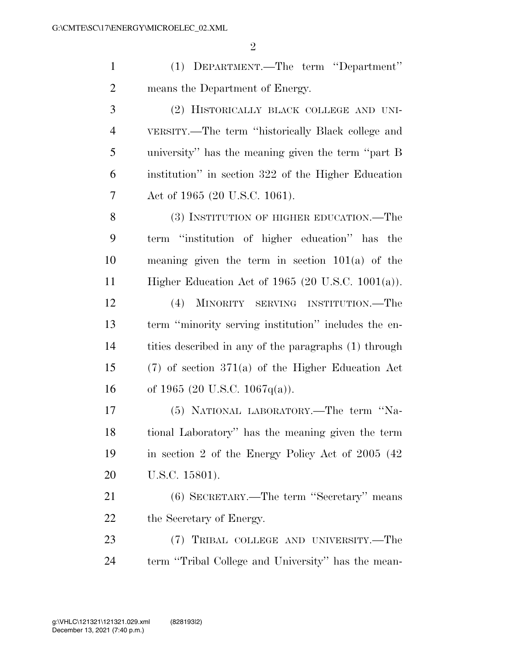(1) DEPARTMENT.—The term ''Department'' means the Department of Energy.

 (2) HISTORICALLY BLACK COLLEGE AND UNI- VERSITY.—The term ''historically Black college and university'' has the meaning given the term ''part B institution'' in section 322 of the Higher Education Act of 1965 (20 U.S.C. 1061).

8 (3) INSTITUTION OF HIGHER EDUCATION.—The term ''institution of higher education'' has the meaning given the term in section 101(a) of the Higher Education Act of 1965 (20 U.S.C. 1001(a)).

 (4) MINORITY SERVING INSTITUTION.—The term ''minority serving institution'' includes the en- tities described in any of the paragraphs (1) through (7) of section 371(a) of the Higher Education Act of 1965 (20 U.S.C. 1067q(a)).

 (5) NATIONAL LABORATORY.—The term ''Na- tional Laboratory'' has the meaning given the term in section 2 of the Energy Policy Act of 2005 (42 U.S.C. 15801).

 (6) SECRETARY.—The term ''Secretary'' means the Secretary of Energy.

 (7) TRIBAL COLLEGE AND UNIVERSITY.—The term ''Tribal College and University'' has the mean-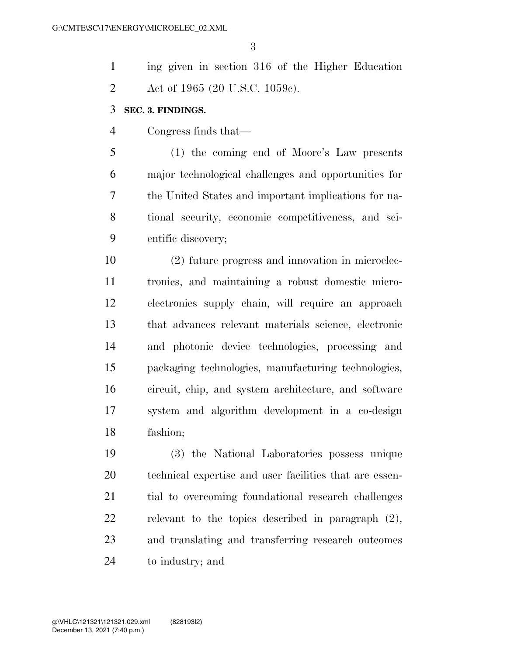| $\mathbf{1}$   | ing given in section 316 of the Higher Education        |
|----------------|---------------------------------------------------------|
| $\overline{2}$ | Act of 1965 (20 U.S.C. 1059c).                          |
| 3              | SEC. 3. FINDINGS.                                       |
| $\overline{4}$ | Congress finds that—                                    |
| 5              | (1) the coming end of Moore's Law presents              |
| 6              | major technological challenges and opportunities for    |
| 7              | the United States and important implications for na-    |
| 8              | tional security, economic competitiveness, and sci-     |
| 9              | entific discovery;                                      |
| 10             | (2) future progress and innovation in microelec-        |
| 11             | tronics, and maintaining a robust domestic micro-       |
| 12             | electronics supply chain, will require an approach      |
| 13             | that advances relevant materials science, electronic    |
| 14             | and photonic device technologies, processing and        |
| 15             | packaging technologies, manufacturing technologies,     |
| 16             | circuit, chip, and system architecture, and software    |
| 17             | system and algorithm development in a co-design         |
| 18             | fashion;                                                |
| 19             | (3) the National Laboratories possess unique            |
| 20             | technical expertise and user facilities that are essen- |

 technical expertise and user facilities that are essen- tial to overcoming foundational research challenges relevant to the topics described in paragraph (2), and translating and transferring research outcomes to industry; and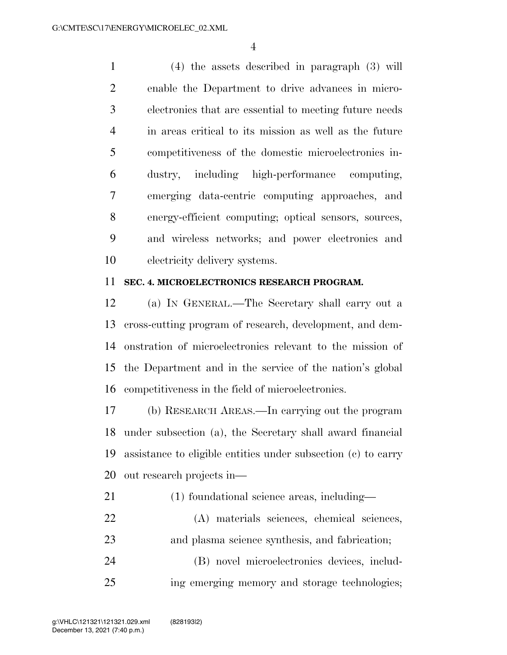(4) the assets described in paragraph (3) will enable the Department to drive advances in micro- electronics that are essential to meeting future needs in areas critical to its mission as well as the future competitiveness of the domestic microelectronics in- dustry, including high-performance computing, emerging data-centric computing approaches, and energy-efficient computing; optical sensors, sources, and wireless networks; and power electronics and electricity delivery systems.

#### **SEC. 4. MICROELECTRONICS RESEARCH PROGRAM.**

 (a) IN GENERAL.—The Secretary shall carry out a cross-cutting program of research, development, and dem- onstration of microelectronics relevant to the mission of the Department and in the service of the nation's global competitiveness in the field of microelectronics.

 (b) RESEARCH AREAS.—In carrying out the program under subsection (a), the Secretary shall award financial assistance to eligible entities under subsection (c) to carry out research projects in—

- (1) foundational science areas, including—
- (A) materials sciences, chemical sciences, and plasma science synthesis, and fabrication;
- (B) novel microelectronics devices, includ-ing emerging memory and storage technologies;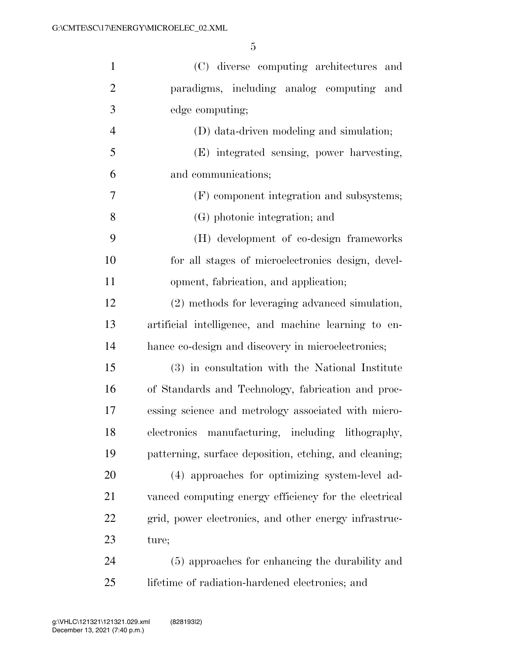| $\mathbf{1}$   | (C) diverse computing architectures and                |
|----------------|--------------------------------------------------------|
| $\mathfrak{2}$ | paradigms, including analog computing<br>and           |
| 3              | edge computing;                                        |
| $\overline{4}$ | (D) data-driven modeling and simulation;               |
| $\mathfrak{S}$ | (E) integrated sensing, power harvesting,              |
| 6              | and communications;                                    |
| 7              | (F) component integration and subsystems;              |
| 8              | (G) photonic integration; and                          |
| 9              | (H) development of co-design frameworks                |
| 10             | for all stages of microelectronics design, devel-      |
| 11             | opment, fabrication, and application;                  |
| 12             | (2) methods for leveraging advanced simulation,        |
| 13             | artificial intelligence, and machine learning to en-   |
| 14             | hance co-design and discovery in microelectronics;     |
| 15             | (3) in consultation with the National Institute        |
| 16             | of Standards and Technology, fabrication and proc-     |
| 17             | essing science and metrology associated with micro-    |
| 18             | electronics manufacturing, including lithography,      |
| 19             | patterning, surface deposition, etching, and cleaning; |
| 20             | (4) approaches for optimizing system-level ad-         |
| 21             | vanced computing energy efficiency for the electrical  |
| 22             | grid, power electronics, and other energy infrastruc-  |
| 23             | ture;                                                  |
| 24             | (5) approaches for enhancing the durability and        |
| 25             | lifetime of radiation-hardened electronics; and        |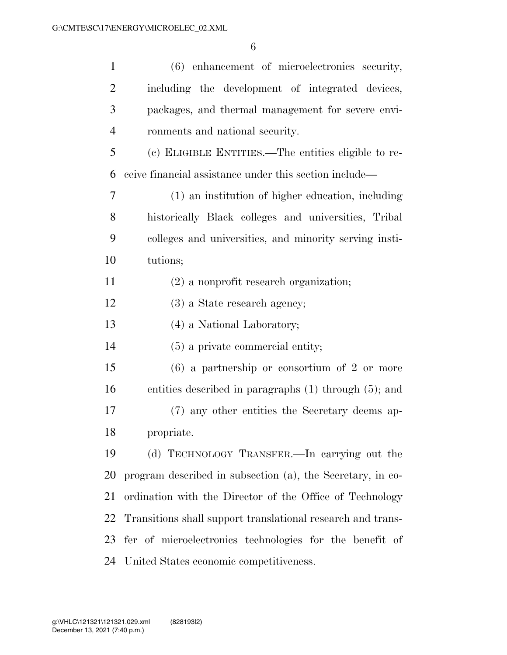| $\mathbf{1}$   | (6) enhancement of microelectronics security,               |
|----------------|-------------------------------------------------------------|
| $\overline{2}$ | including the development of integrated devices,            |
| 3              | packages, and thermal management for severe envi-           |
| $\overline{4}$ | ronments and national security.                             |
| 5              | (c) ELIGIBLE ENTITIES.—The entities eligible to re-         |
| 6              | ceive financial assistance under this section include—      |
| 7              | (1) an institution of higher education, including           |
| 8              | historically Black colleges and universities, Tribal        |
| 9              | colleges and universities, and minority serving insti-      |
| 10             | tutions;                                                    |
| 11             | $(2)$ a nonprofit research organization;                    |
| 12             | $(3)$ a State research agency;                              |
| 13             | (4) a National Laboratory;                                  |
| 14             | $(5)$ a private commercial entity;                          |
| 15             | $(6)$ a partnership or consortium of 2 or more              |
| 16             | entities described in paragraphs $(1)$ through $(5)$ ; and  |
| 17             | (7) any other entities the Secretary deems ap-              |
| 18             | propriate.                                                  |
| 19             | (d) TECHNOLOGY TRANSFER.—In carrying out the                |
| 20             | program described in subsection (a), the Secretary, in co-  |
| 21             | ordination with the Director of the Office of Technology    |
| 22             | Transitions shall support translational research and trans- |
| 23             | fer of microelectronics technologies for the benefit of     |
|                | 24 United States economic competitiveness.                  |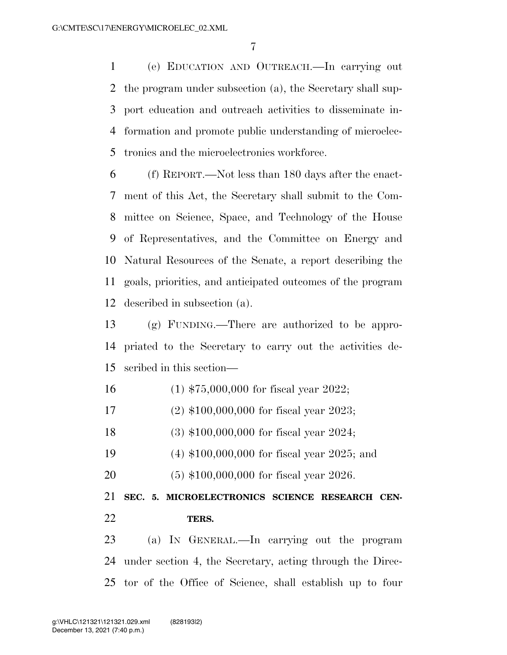(e) EDUCATION AND OUTREACH.—In carrying out the program under subsection (a), the Secretary shall sup- port education and outreach activities to disseminate in- formation and promote public understanding of microelec-tronics and the microelectronics workforce.

 (f) REPORT.—Not less than 180 days after the enact- ment of this Act, the Secretary shall submit to the Com- mittee on Science, Space, and Technology of the House of Representatives, and the Committee on Energy and Natural Resources of the Senate, a report describing the goals, priorities, and anticipated outcomes of the program described in subsection (a).

 (g) FUNDING.—There are authorized to be appro- priated to the Secretary to carry out the activities de-scribed in this section—

(1) \$75,000,000 for fiscal year 2022;

(2) \$100,000,000 for fiscal year 2023;

- (3) \$100,000,000 for fiscal year 2024;
- (4) \$100,000,000 for fiscal year 2025; and
- (5) \$100,000,000 for fiscal year 2026.

 **SEC. 5. MICROELECTRONICS SCIENCE RESEARCH CEN-TERS.** 

 (a) IN GENERAL.—In carrying out the program under section 4, the Secretary, acting through the Direc-tor of the Office of Science, shall establish up to four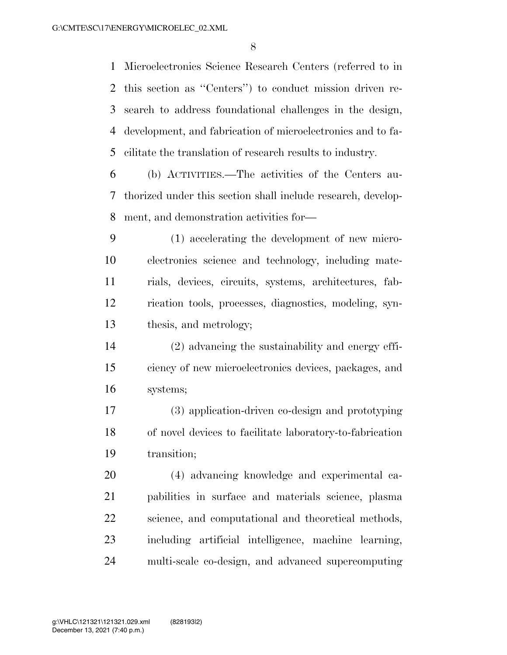Microelectronics Science Research Centers (referred to in this section as ''Centers'') to conduct mission driven re- search to address foundational challenges in the design, development, and fabrication of microelectronics and to fa-cilitate the translation of research results to industry.

 (b) ACTIVITIES.—The activities of the Centers au- thorized under this section shall include research, develop-ment, and demonstration activities for—

 (1) accelerating the development of new micro- electronics science and technology, including mate- rials, devices, circuits, systems, architectures, fab- rication tools, processes, diagnostics, modeling, syn-thesis, and metrology;

 (2) advancing the sustainability and energy effi- ciency of new microelectronics devices, packages, and systems;

 (3) application-driven co-design and prototyping of novel devices to facilitate laboratory-to-fabrication transition;

 (4) advancing knowledge and experimental ca- pabilities in surface and materials science, plasma science, and computational and theoretical methods, including artificial intelligence, machine learning, multi-scale co-design, and advanced supercomputing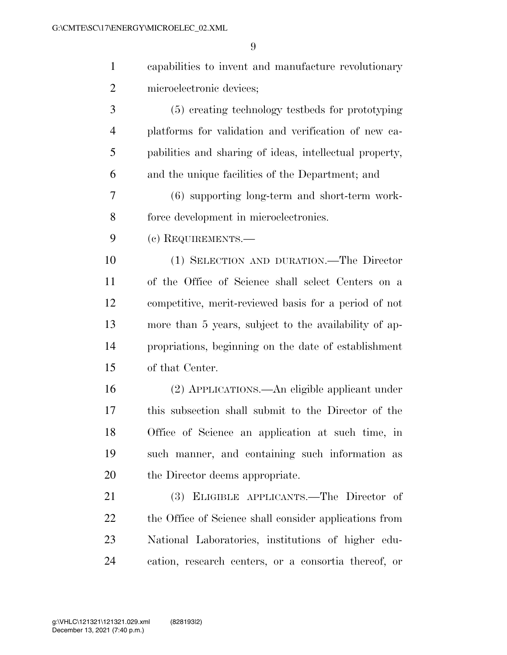| $\mathbf{1}$   | capabilities to invent and manufacture revolutionary    |
|----------------|---------------------------------------------------------|
| $\overline{2}$ | microelectronic devices;                                |
| 3              | (5) creating technology testbeds for prototyping        |
| $\overline{4}$ | platforms for validation and verification of new ca-    |
| 5              | pabilities and sharing of ideas, intellectual property, |
| 6              | and the unique facilities of the Department; and        |
| 7              | (6) supporting long-term and short-term work-           |
| 8              | force development in microelectronics.                  |
| 9              | (c) REQUIREMENTS.-                                      |
| 10             | (1) SELECTION AND DURATION.—The Director                |
| 11             | of the Office of Science shall select Centers on a      |
| 12             | competitive, merit-reviewed basis for a period of not   |
| 13             | more than 5 years, subject to the availability of ap-   |
| 14             | propriations, beginning on the date of establishment    |
| 15             | of that Center.                                         |
| 16             | (2) APPLICATIONS.—An eligible applicant under           |
| 17             | this subsection shall submit to the Director of the     |
| 18             | Office of Science an application at such time, in       |
| 19             | such manner, and containing such information as         |
| 20             | the Director deems appropriate.                         |
| 21             | (3) ELIGIBLE APPLICANTS.—The Director of                |
| 22             | the Office of Science shall consider applications from  |
| 23             | National Laboratories, institutions of higher edu-      |
| 24             | cation, research centers, or a consortia thereof, or    |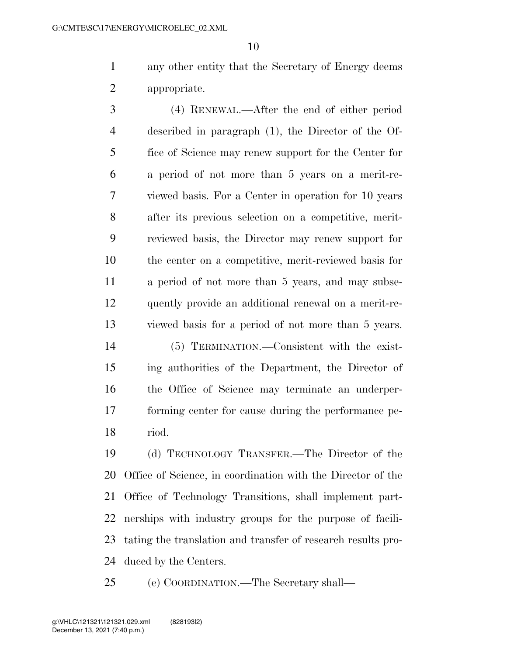any other entity that the Secretary of Energy deems appropriate.

 (4) RENEWAL.—After the end of either period described in paragraph (1), the Director of the Of- fice of Science may renew support for the Center for a period of not more than 5 years on a merit-re- viewed basis. For a Center in operation for 10 years after its previous selection on a competitive, merit- reviewed basis, the Director may renew support for the center on a competitive, merit-reviewed basis for a period of not more than 5 years, and may subse- quently provide an additional renewal on a merit-re-viewed basis for a period of not more than 5 years.

 (5) TERMINATION.—Consistent with the exist- ing authorities of the Department, the Director of the Office of Science may terminate an underper- forming center for cause during the performance pe-riod.

 (d) TECHNOLOGY TRANSFER.—The Director of the Office of Science, in coordination with the Director of the Office of Technology Transitions, shall implement part- nerships with industry groups for the purpose of facili- tating the translation and transfer of research results pro-duced by the Centers.

(e) COORDINATION.—The Secretary shall—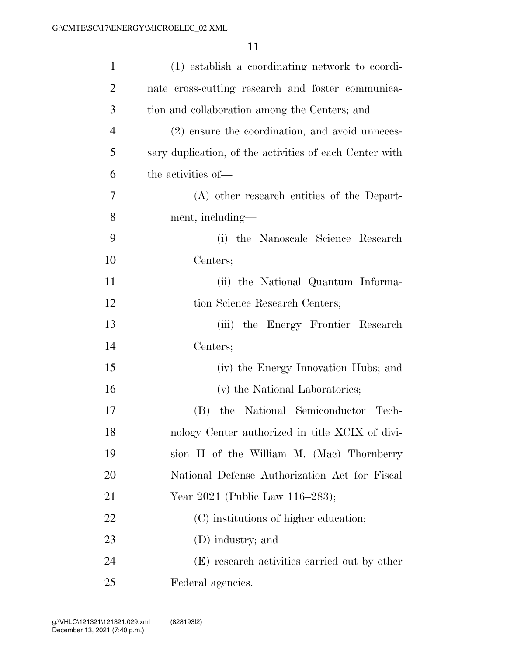| $\mathbf{1}$   | (1) establish a coordinating network to coordi-         |
|----------------|---------------------------------------------------------|
| $\overline{2}$ | nate cross-cutting research and foster communica-       |
| 3              | tion and collaboration among the Centers; and           |
| $\overline{4}$ | (2) ensure the coordination, and avoid unneces-         |
| 5              | sary duplication, of the activities of each Center with |
| 6              | the activities of—                                      |
| 7              | (A) other research entities of the Depart-              |
| 8              | ment, including—                                        |
| 9              | (i) the Nanoscale Science Research                      |
| 10             | Centers;                                                |
| 11             | (ii) the National Quantum Informa-                      |
| 12             | tion Science Research Centers;                          |
| 13             | (iii) the Energy Frontier Research                      |
| 14             | Centers;                                                |
| 15             | (iv) the Energy Innovation Hubs; and                    |
| 16             | (v) the National Laboratories;                          |
| 17             | the National Semiconductor Tech-<br>(B)                 |
| 18             | nology Center authorized in title XCIX of divi-         |
| 19             | sion H of the William M. (Mac) Thornberry               |
| 20             | National Defense Authorization Act for Fiscal           |
| 21             | Year 2021 (Public Law 116–283);                         |
| 22             | (C) institutions of higher education;                   |
| 23             | (D) industry; and                                       |
| 24             | (E) research activities carried out by other            |
| 25             | Federal agencies.                                       |